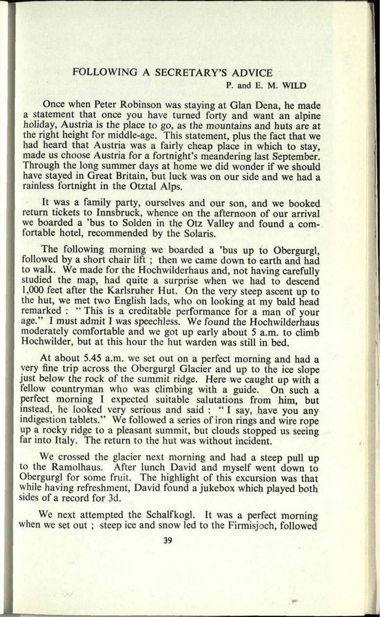## FOLLOWING A SECRETARY'S ADVICE

## **P. and E. M. WILD**

Once when Peter Robinson was staying at Glan Dena, he made a statement that once you have turned forty and want an alpine holiday, Austria is the place to go, as the mountains and huts are at the right height for middle-age. This statement, plus the fact that we had heard that Austria was a fairly cheap place in which to stay, made us choose Austria for a fortnight's meandering last September. Through the long summer days at home we did wonder if we should have stayed in Great Britain, but luck was on our side and we had <sup>a</sup> rainless fortnight in the Otztal Alps.

It was a family party, ourselves and our son, and we booked return tickets to Innsbruck, whence on the afternoon of our arrival we boarded a 'bus to Solden in the Otz Valley and found a comfortable hotel, recommended by the Solaris.

The following morning we boarded a 'bus up to Obergurgl, followed by a short chair lift ; then we came down to earth and had to walk. We made for the Hochwilderhaus and, not having carefully studied the map, had quite a surprise when we had to descend 1,000 feet after the Karlsruher Hut. On the very steep ascent up to the hut, we met two English lads, who on looking at my bald head remarked : "This is a creditable performance for a man of your age." I must admit I was speechless. We found the Hochwilderhaus moderately comfortable and we got up early about 5 a.m. to climb Hochwilder, but at this hour the hut warden was still in bed.

At about 5.45 a.m. we set out on a perfect morning and had a very fine trip across the Obergurgl Glacier and up to the ice slope just below the rock of the summit ridge. Here we caught up with a fellow countryman who was climbing with a guide. On such a perfect morning I expected suitable salutations from him, but instead, he looked very serious and said : " I say, have you any indigestion tablets." We followed a series of iron rings and wire rope up a rocky ridge to a pleasant summit, but clouds stopped us seeing far into Italy. The return to the hut was without incident.

We crossed the glacier next morning and had a steep pull up to the Ramolhaus. After lunch David and myself went down to Obergurgl for some fruit. The highlight of this excursion was that while having refreshment, David found a jukebox which played both sides of a record for 3d.

We next attempted the Schalfkogl. It was a perfect morning when we set out ; steep ice and snow led to the Firmisjoch, followed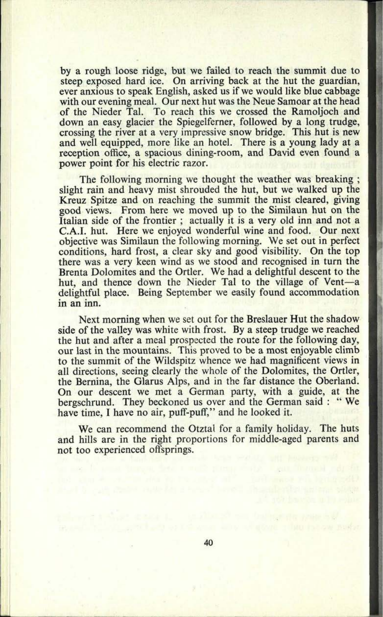by a rough loose ridge, but we failed to reach the summit due to steep exposed hard ice. On arriving back at the hut the guardian, ever anxious to speak English, asked us if we would like blue cabbage with our evening meal. Our next hut was the Neue Samoar at the head of the Nieder Tal. To reach this we crossed the Ramoljoch and down an easy glacier the Spiegelferner, followed by a long trudge, crossing the river at a very impressive snow bridge. This hut is new and well equipped, more like an hotel. There is a young lady at <sup>a</sup> reception office, a spacious dining-room, and David even found <sup>a</sup> power point for his electric razor.

The following morning we thought the weather was breaking; slight rain and heavy mist shrouded the hut, but we walked up the Kreuz Spitze and on reaching the summit the mist cleared, giving good views. From here we moved up to the Similaun hut on the Italian side of the frontier ; actually it is a very old inn and not <sup>a</sup> C.A.I, hut. Here we enjoyed wonderful wine and food. Our next objective was Similaun the following morning. We set out in perfect conditions, hard frost, a clear sky and good visibility. On the top there was <sup>a</sup>very keen wind as we stood and recognised in turn the Brenta Dolomites and the Ortler. We had a delightful descent to the hut, and thence down the Nieder Tal to the village of Vent-a delightful place. Being September we easily found accommodation in an inn.

Next morning when we set out for the Breslauer Hut the shadow side of the valley was white with frost. By a steep trudge we reached the hut and after a meal prospected the route for the following day, our last in the mountains. This proved to be a most enjoyable climb to the summit of the Wildspitz whence we had magnificent views in all directions, seeing clearly the whole of the Dolomites, the Ortler, the Bernina, the Glarus Alps, and in the far distance the Oberland. On our descent we met a German party, with a guide, at the bergschrund. They beckoned us over and the German said : " We have time. I have no air, puff-puff," and he looked it.

We can recommend the Otztal for a family holiday. The huts and hills are in the right proportions for middle-aged parents and not too experienced offsprings.